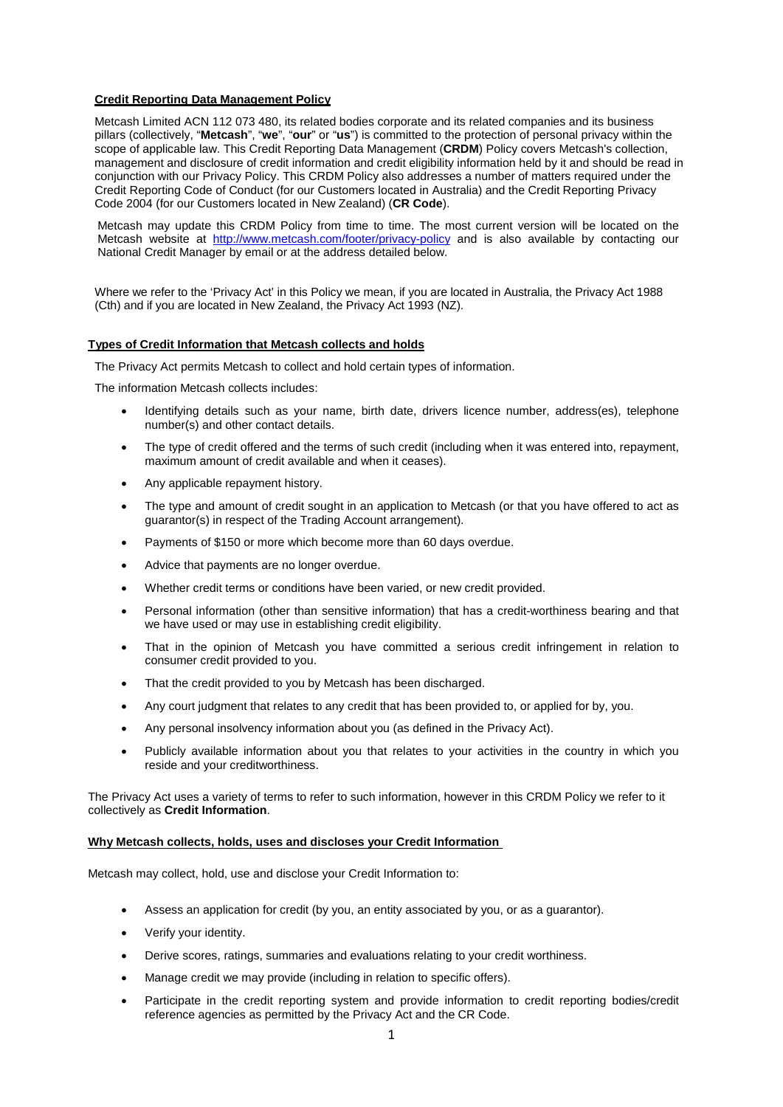## **Credit Reporting Data Management Policy**

Metcash Limited ACN 112 073 480, its related bodies corporate and its related companies and its business pillars (collectively, "**Metcash**", "**we**", "**our**" or "**us**") is committed to the protection of personal privacy within the scope of applicable law. This Credit Reporting Data Management (**CRDM**) Policy covers Metcash's collection, management and disclosure of credit information and credit eligibility information held by it and should be read in conjunction with our Privacy Policy. This CRDM Policy also addresses a number of matters required under the Credit Reporting Code of Conduct (for our Customers located in Australia) and the Credit Reporting Privacy Code 2004 (for our Customers located in New Zealand) (**CR Code**).

Metcash may update this CRDM Policy from time to time. The most current version will be located on the Metcash website at <http://www.metcash.com/footer/privacy-policy> and is also available by contacting our National Credit Manager by email or at the address detailed below.

Where we refer to the 'Privacy Act' in this Policy we mean, if you are located in Australia, the Privacy Act 1988 (Cth) and if you are located in New Zealand, the Privacy Act 1993 (NZ).

#### **Types of Credit Information that Metcash collects and holds**

The Privacy Act permits Metcash to collect and hold certain types of information.

The information Metcash collects includes:

- Identifying details such as your name, birth date, drivers licence number, address(es), telephone number(s) and other contact details.
- The type of credit offered and the terms of such credit (including when it was entered into, repayment, maximum amount of credit available and when it ceases).
- Any applicable repayment history.
- The type and amount of credit sought in an application to Metcash (or that you have offered to act as guarantor(s) in respect of the Trading Account arrangement).
- Payments of \$150 or more which become more than 60 days overdue.
- Advice that payments are no longer overdue.
- Whether credit terms or conditions have been varied, or new credit provided.
- Personal information (other than sensitive information) that has a credit-worthiness bearing and that we have used or may use in establishing credit eligibility.
- That in the opinion of Metcash you have committed a serious credit infringement in relation to consumer credit provided to you.
- That the credit provided to you by Metcash has been discharged.
- Any court judgment that relates to any credit that has been provided to, or applied for by, you.
- Any personal insolvency information about you (as defined in the Privacy Act).
- Publicly available information about you that relates to your activities in the country in which you reside and your creditworthiness.

The Privacy Act uses a variety of terms to refer to such information, however in this CRDM Policy we refer to it collectively as **Credit Information**.

### **Why Metcash collects, holds, uses and discloses your Credit Information**

Metcash may collect, hold, use and disclose your Credit Information to:

- Assess an application for credit (by you, an entity associated by you, or as a guarantor).
- Verify your identity.
- Derive scores, ratings, summaries and evaluations relating to your credit worthiness.
- Manage credit we may provide (including in relation to specific offers).
- Participate in the credit reporting system and provide information to credit reporting bodies/credit reference agencies as permitted by the Privacy Act and the CR Code.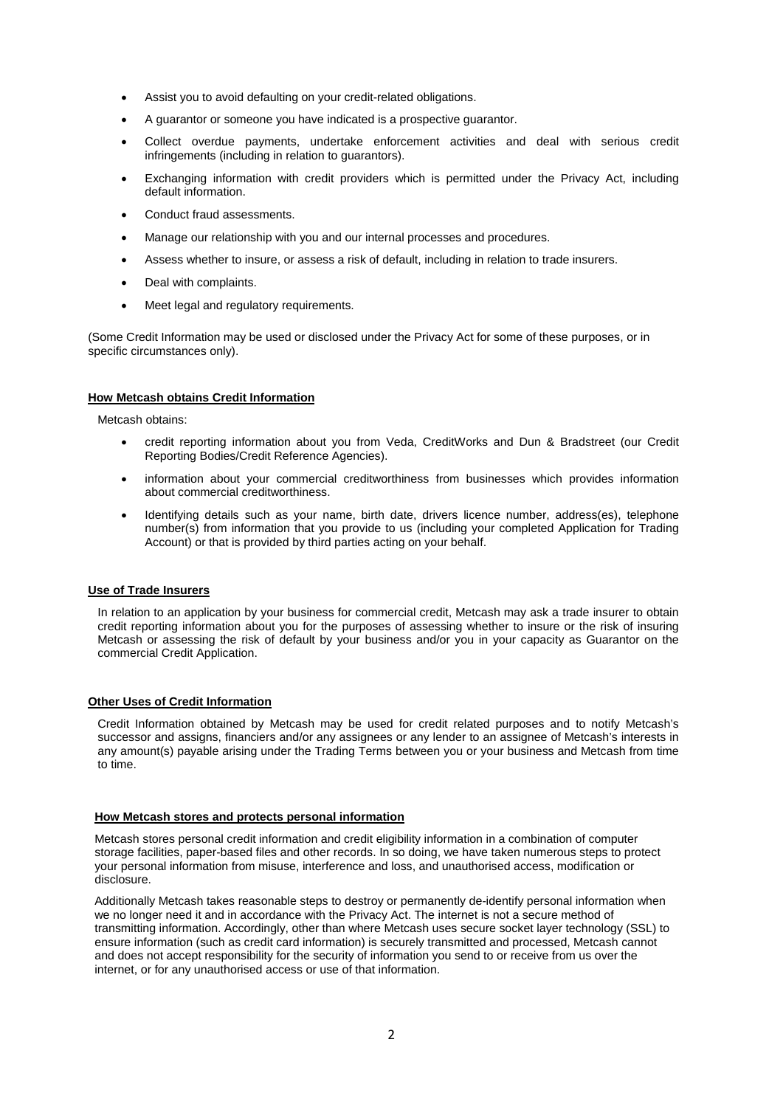- Assist you to avoid defaulting on your credit-related obligations.
- A guarantor or someone you have indicated is a prospective guarantor.
- Collect overdue payments, undertake enforcement activities and deal with serious credit infringements (including in relation to guarantors).
- Exchanging information with credit providers which is permitted under the Privacy Act, including default information.
- Conduct fraud assessments.
- Manage our relationship with you and our internal processes and procedures.
- Assess whether to insure, or assess a risk of default, including in relation to trade insurers.
- Deal with complaints.
- Meet legal and regulatory requirements.

(Some Credit Information may be used or disclosed under the Privacy Act for some of these purposes, or in specific circumstances only).

### **How Metcash obtains Credit Information**

Metcash obtains:

- credit reporting information about you from Veda, CreditWorks and Dun & Bradstreet (our Credit Reporting Bodies/Credit Reference Agencies).
- information about your commercial creditworthiness from businesses which provides information about commercial creditworthiness.
- Identifying details such as your name, birth date, drivers licence number, address(es), telephone number(s) from information that you provide to us (including your completed Application for Trading Account) or that is provided by third parties acting on your behalf.

### **Use of Trade Insurers**

In relation to an application by your business for commercial credit, Metcash may ask a trade insurer to obtain credit reporting information about you for the purposes of assessing whether to insure or the risk of insuring Metcash or assessing the risk of default by your business and/or you in your capacity as Guarantor on the commercial Credit Application.

# **Other Uses of Credit Information**

Credit Information obtained by Metcash may be used for credit related purposes and to notify Metcash's successor and assigns, financiers and/or any assignees or any lender to an assignee of Metcash's interests in any amount(s) payable arising under the Trading Terms between you or your business and Metcash from time to time.

### **How Metcash stores and protects personal information**

Metcash stores personal credit information and credit eligibility information in a combination of computer storage facilities, paper-based files and other records. In so doing, we have taken numerous steps to protect your personal information from misuse, interference and loss, and unauthorised access, modification or disclosure.

Additionally Metcash takes reasonable steps to destroy or permanently de-identify personal information when we no longer need it and in accordance with the Privacy Act. The internet is not a secure method of transmitting information. Accordingly, other than where Metcash uses secure socket layer technology (SSL) to ensure information (such as credit card information) is securely transmitted and processed, Metcash cannot and does not accept responsibility for the security of information you send to or receive from us over the internet, or for any unauthorised access or use of that information.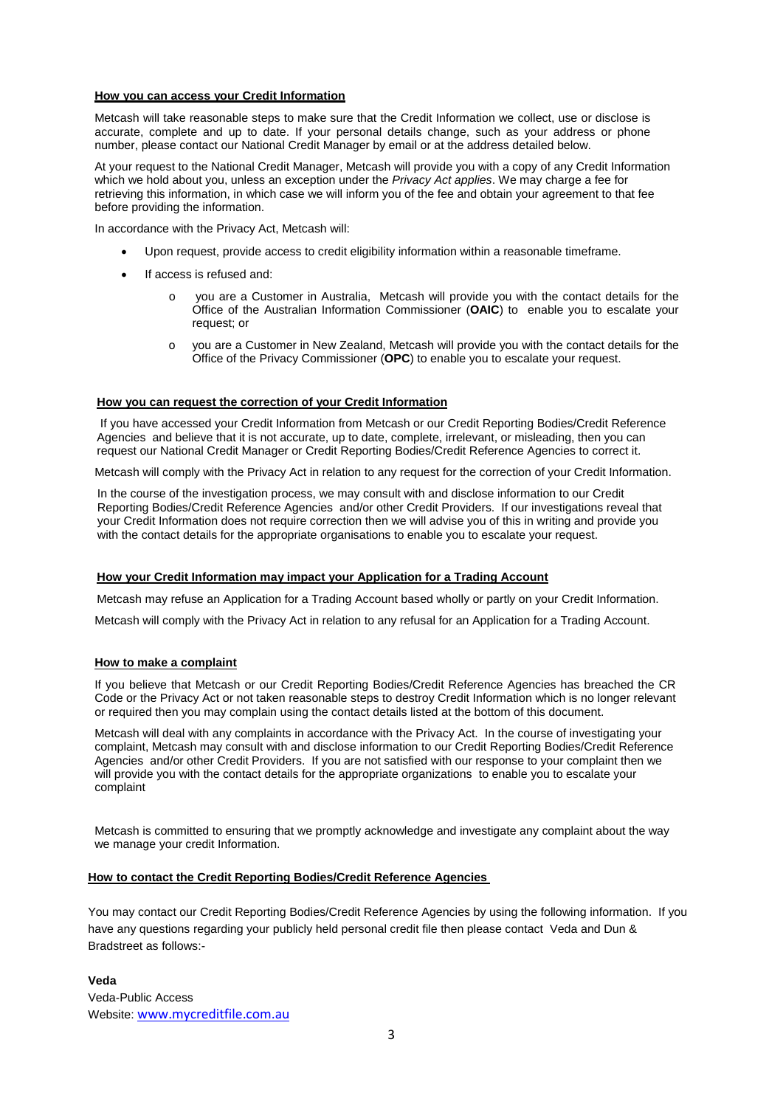## **How you can access your Credit Information**

Metcash will take reasonable steps to make sure that the Credit Information we collect, use or disclose is accurate, complete and up to date. If your personal details change, such as your address or phone number, please contact our National Credit Manager by email or at the address detailed below.

At your request to the National Credit Manager, Metcash will provide you with a copy of any Credit Information which we hold about you, unless an exception under the *Privacy Act applies*. We may charge a fee for retrieving this information, in which case we will inform you of the fee and obtain your agreement to that fee before providing the information.

In accordance with the Privacy Act, Metcash will:

- Upon request, provide access to credit eligibility information within a reasonable timeframe.
- If access is refused and:
	- o you are a Customer in Australia, Metcash will provide you with the contact details for the Office of the Australian Information Commissioner (**OAIC**) to enable you to escalate your request; or
	- o you are a Customer in New Zealand, Metcash will provide you with the contact details for the Office of the Privacy Commissioner (**OPC**) to enable you to escalate your request.

## **How you can request the correction of your Credit Information**

If you have accessed your Credit Information from Metcash or our Credit Reporting Bodies/Credit Reference Agencies and believe that it is not accurate, up to date, complete, irrelevant, or misleading, then you can request our National Credit Manager or Credit Reporting Bodies/Credit Reference Agencies to correct it.

Metcash will comply with the Privacy Act in relation to any request for the correction of your Credit Information.

In the course of the investigation process, we may consult with and disclose information to our Credit Reporting Bodies/Credit Reference Agencies and/or other Credit Providers. If our investigations reveal that your Credit Information does not require correction then we will advise you of this in writing and provide you with the contact details for the appropriate organisations to enable you to escalate your request.

### **How your Credit Information may impact your Application for a Trading Account**

Metcash may refuse an Application for a Trading Account based wholly or partly on your Credit Information.

Metcash will comply with the Privacy Act in relation to any refusal for an Application for a Trading Account.

### **How to make a complaint**

If you believe that Metcash or our Credit Reporting Bodies/Credit Reference Agencies has breached the CR Code or the Privacy Act or not taken reasonable steps to destroy Credit Information which is no longer relevant or required then you may complain using the contact details listed at the bottom of this document.

Metcash will deal with any complaints in accordance with the Privacy Act. In the course of investigating your complaint, Metcash may consult with and disclose information to our Credit Reporting Bodies/Credit Reference Agencies and/or other Credit Providers. If you are not satisfied with our response to your complaint then we will provide you with the contact details for the appropriate organizations to enable you to escalate your complaint

Metcash is committed to ensuring that we promptly acknowledge and investigate any complaint about the way we manage your credit Information.

### **How to contact the Credit Reporting Bodies/Credit Reference Agencies**

You may contact our Credit Reporting Bodies/Credit Reference Agencies by using the following information. If you have any questions regarding your publicly held personal credit file then please contact Veda and Dun & Bradstreet as follows:-

**Veda** Veda-Public Access Website: [www.mycreditfile.com.au](http://www.mycreditfile.com.au/)